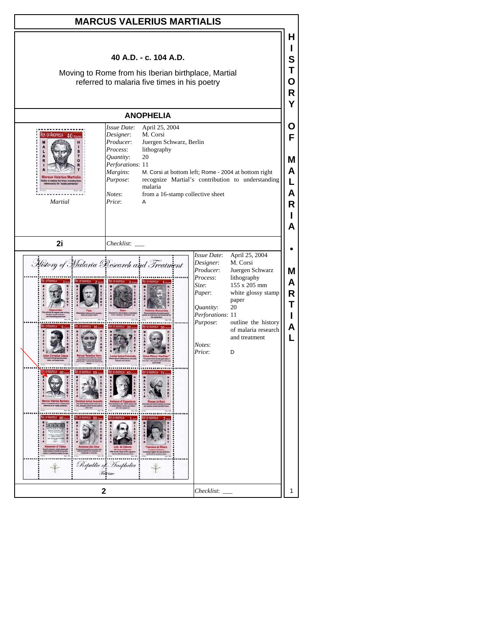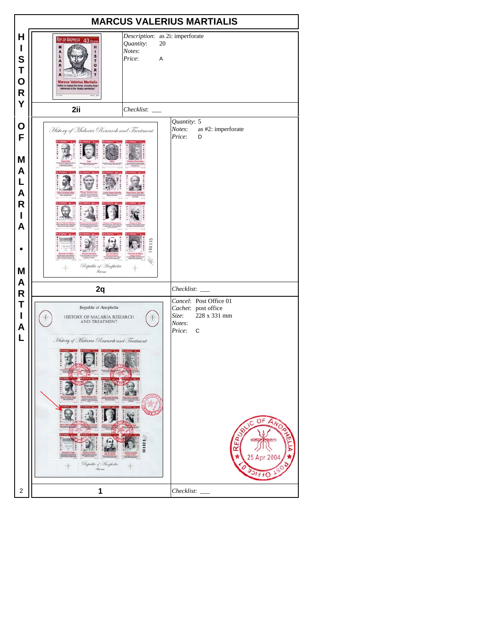| <b>MARCUS VALERIUS MARTIALIS</b>                                            |                                                                                                                                                                            |                                                                                                                                               |  |  |  |  |  |  |
|-----------------------------------------------------------------------------|----------------------------------------------------------------------------------------------------------------------------------------------------------------------------|-----------------------------------------------------------------------------------------------------------------------------------------------|--|--|--|--|--|--|
| Н<br>I<br>S<br>Τ<br>$\mathbf O$<br>${\sf R}$                                | REP. OF ANOPHELIA 40 FEVERS<br>Quantity:<br>H<br>Notes:<br>п<br>s<br>L<br>Price:<br>T<br>A<br>$\bullet$<br>R<br>R<br><b>Marcus Valerius Martialis</b><br><b>IFS TO TTU</b> | Description: as 2i: imperforate<br>20<br>A                                                                                                    |  |  |  |  |  |  |
| Y                                                                           | 2ii<br>Checklist:                                                                                                                                                          |                                                                                                                                               |  |  |  |  |  |  |
| O<br>F<br>M<br>A<br>L<br>$\boldsymbol{\mathsf{A}}$<br>$\mathsf R$<br>I<br>A | History of Malaria Research and Treatment                                                                                                                                  | Quantity: 5<br>Notes:<br>as #2: imperforate<br>Price:<br>D                                                                                    |  |  |  |  |  |  |
| M<br>A                                                                      | Republic of Anophelia<br><b>The Same</b>                                                                                                                                   |                                                                                                                                               |  |  |  |  |  |  |
| ${\sf R}$                                                                   | 2q                                                                                                                                                                         | Checklist:                                                                                                                                    |  |  |  |  |  |  |
| Τ<br>I<br>A<br>L                                                            | Republic of Anophelia<br>HISTORY OF MALARIA RESEARCH<br>AND TREATMENT<br>History of Malaria Research and Treatment<br>Republic of Inophelia<br><b>Resident</b>             | Cancel: Post Office 01<br>Cachet: post office<br>228 x 331 mm<br>Size:<br>Notes:<br>Price:<br>C<br>OF<br>$A_{N_O}$<br>C<br>u.<br>200<br>OFFIC |  |  |  |  |  |  |
| 2                                                                           | 1                                                                                                                                                                          | Checklist:                                                                                                                                    |  |  |  |  |  |  |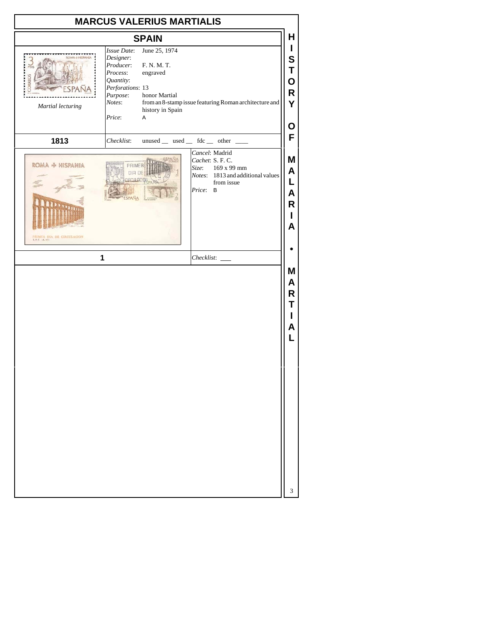| <b>MARCUS VALERIUS MARTIALIS</b>                    |                                                                                                                           |                                                                                    |  |          |                                                                                                                          |                                                                    |  |
|-----------------------------------------------------|---------------------------------------------------------------------------------------------------------------------------|------------------------------------------------------------------------------------|--|----------|--------------------------------------------------------------------------------------------------------------------------|--------------------------------------------------------------------|--|
| н<br><b>SPAIN</b>                                   |                                                                                                                           |                                                                                    |  |          |                                                                                                                          |                                                                    |  |
| <b>MA-I-HISPANIA</b><br>ORREOS<br>Martial lecturing | <b>Issue Date:</b><br>Designer:<br>Producer:<br>Process:<br>Quantity:<br>Perforations: 13<br>Purpose:<br>Notes:<br>Price: | June 25, 1974<br>F. N. M. T.<br>engraved<br>honor Martial<br>history in Spain<br>A |  |          | from an 8-stamp issue featuring Roman architecture and                                                                   | $\mathbf{I}$<br>S<br>Τ<br>O<br>R<br>Y<br>О                         |  |
| 1813                                                | Checklist:                                                                                                                |                                                                                    |  |          | unused _ used _ fdc _ other _                                                                                            | F                                                                  |  |
| ROMA + HISPANIA<br>PRIMER DIA DE CIRCULACION<br>1   |                                                                                                                           |                                                                                    |  | Price: B | Cancel: Madrid<br>Cachet: S. F. C.<br>Size: 169 x 99 mm<br>Notes: 1813 and additional values<br>from issue<br>Checklist: | M<br>A<br>L<br>Α<br>R<br>L<br>A<br>Μ<br>A<br>R<br>Τ<br>L<br>A<br>L |  |
|                                                     |                                                                                                                           |                                                                                    |  |          |                                                                                                                          | 3                                                                  |  |